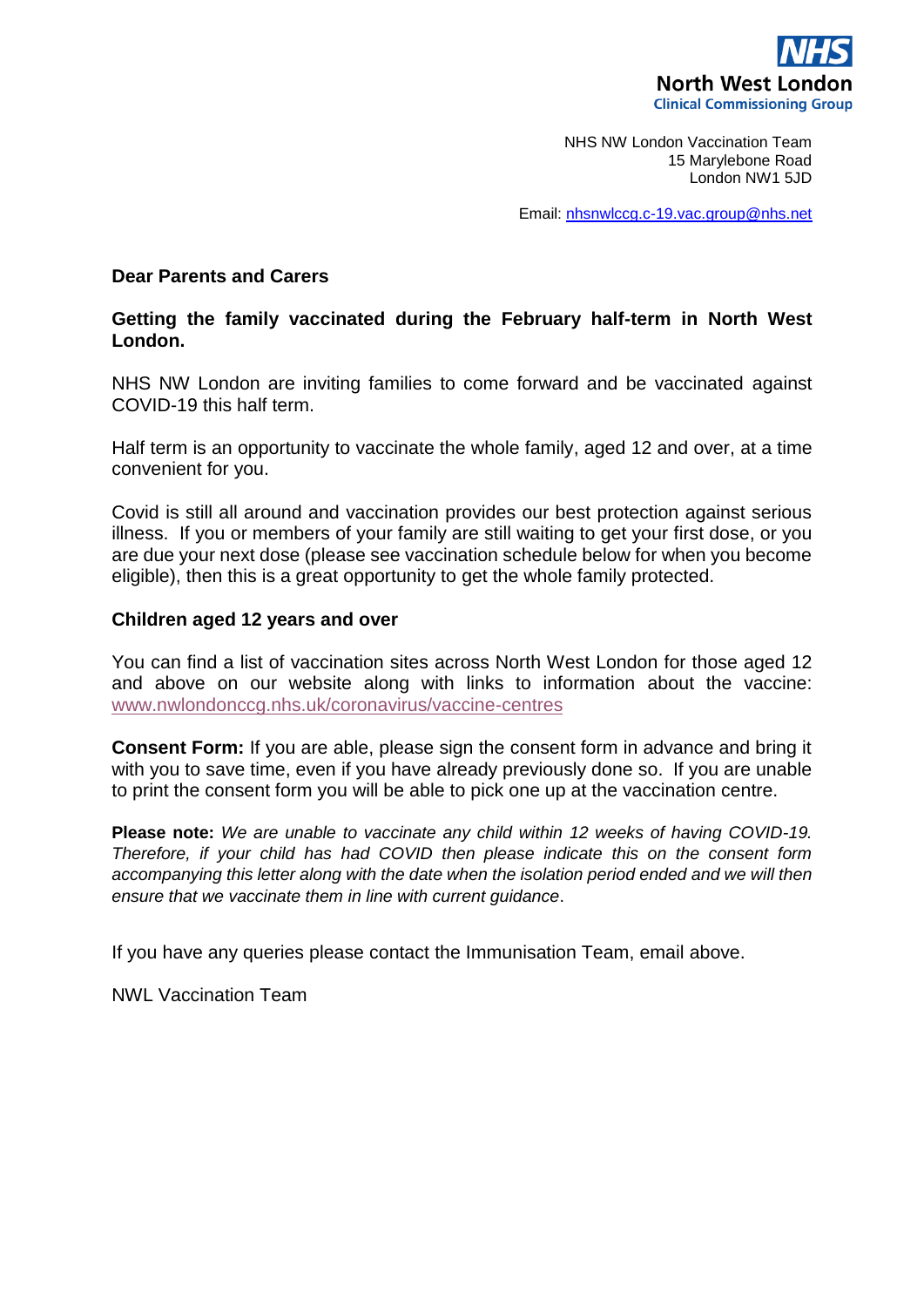

NHS NW London Vaccination Team 15 Marylebone Road London NW1 5JD

Email[: nhsnwlccg.c-19.vac.group@nhs.net](mailto:nhsnwlccg.c-19.vac.group@nhs.net)

### **Dear Parents and Carers**

### **Getting the family vaccinated during the February half-term in North West London.**

NHS NW London are inviting families to come forward and be vaccinated against COVID-19 this half term.

Half term is an opportunity to vaccinate the whole family, aged 12 and over, at a time convenient for you.

Covid is still all around and vaccination provides our best protection against serious illness. If you or members of your family are still waiting to get your first dose, or you are due your next dose (please see vaccination schedule below for when you become eligible), then this is a great opportunity to get the whole family protected.

### **Children aged 12 years and over**

You can find a list of vaccination sites across North West London for those aged 12 and above on our website along with links to information about the vaccine: [www.nwlondonccg.nhs.uk/coronavirus/vaccine-centres](http://www.nwlondonccg.nhs.uk/coronavirus/vaccine-centres)

**Consent Form:** If you are able, please sign the consent form in advance and bring it with you to save time, even if you have already previously done so. If you are unable to print the consent form you will be able to pick one up at the vaccination centre.

**Please note:** *We are unable to vaccinate any child within 12 weeks of having COVID-19. Therefore, if your child has had COVID then please indicate this on the consent form accompanying this letter along with the date when the isolation period ended and we will then ensure that we vaccinate them in line with current guidance*.

If you have any queries please contact the Immunisation Team, email above.

NWL Vaccination Team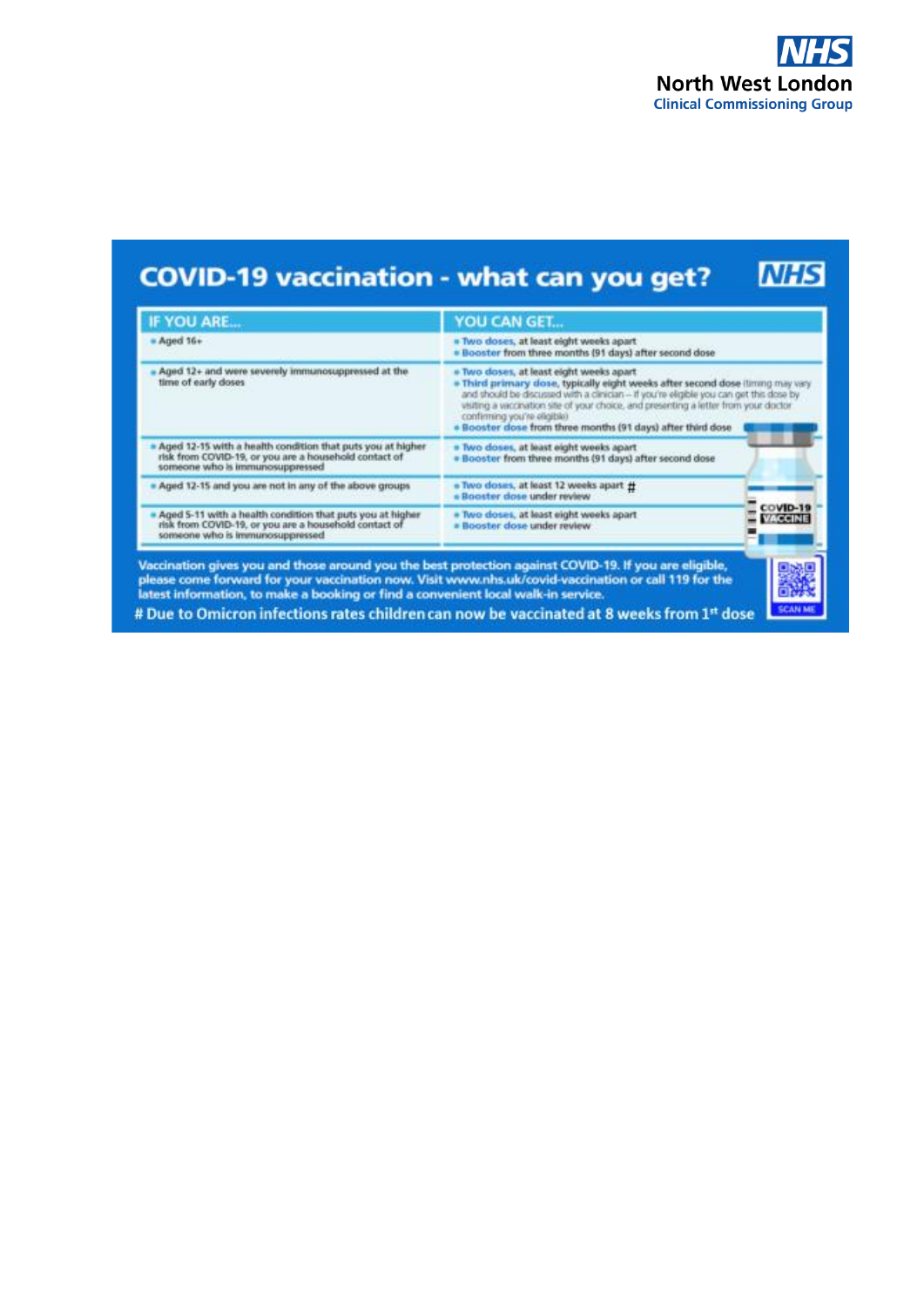

#### **NHS COVID-19 vaccination - what can you get?**

| <b>IF YOU ARE</b>                                                                                                                                      | YOU CAN GET                                                                                                                                                                                                                                                                                                                                                                                                                                                                                                                                                                                 |  |  |  |
|--------------------------------------------------------------------------------------------------------------------------------------------------------|---------------------------------------------------------------------------------------------------------------------------------------------------------------------------------------------------------------------------------------------------------------------------------------------------------------------------------------------------------------------------------------------------------------------------------------------------------------------------------------------------------------------------------------------------------------------------------------------|--|--|--|
| $-Aqed 16+$                                                                                                                                            | · Two doses, at least eight weeks apart<br>. Booster from three months (91 days) after second dose                                                                                                                                                                                                                                                                                                                                                                                                                                                                                          |  |  |  |
| Aged 12+ and were severely immunosuppressed at the<br>time of early doses                                                                              | # Two doses, at least eight weeks apart<br>. Third primary dose, typically eight weeks after second dose (liming may vary<br>and thould be discussed with a clinician -- if you're eligible you can get this dose by<br>visiting a vaccination site of your choice, and presenting a letter from your doctor.<br>confirming you're eligible)<br>. Booster dose from three months (91 days) after third dose<br>. Two doses, at least eight weeks apart.<br>. Booster from three months (91 days) after second dose<br>. Two doses, at least 12 weeks apart #<br>« Booster dase under review |  |  |  |
| Aged 12-15 with a health condition that puts you at higher<br>risk from COVID-19, or you are a household contact of<br>someone who is immunosuppressed |                                                                                                                                                                                                                                                                                                                                                                                                                                                                                                                                                                                             |  |  |  |
| Aged 12-15 and you are not in any of the above groups                                                                                                  |                                                                                                                                                                                                                                                                                                                                                                                                                                                                                                                                                                                             |  |  |  |
| Aged 5-11 with a health condition that puts you at higher<br>risk from COVID-19, or you are a household contact of<br>someone who is immunosuppressed  | <b>COVID-19</b><br>. Two doses, at least eight weeks apart<br><b>VACCINE</b><br>. Booster dose under review                                                                                                                                                                                                                                                                                                                                                                                                                                                                                 |  |  |  |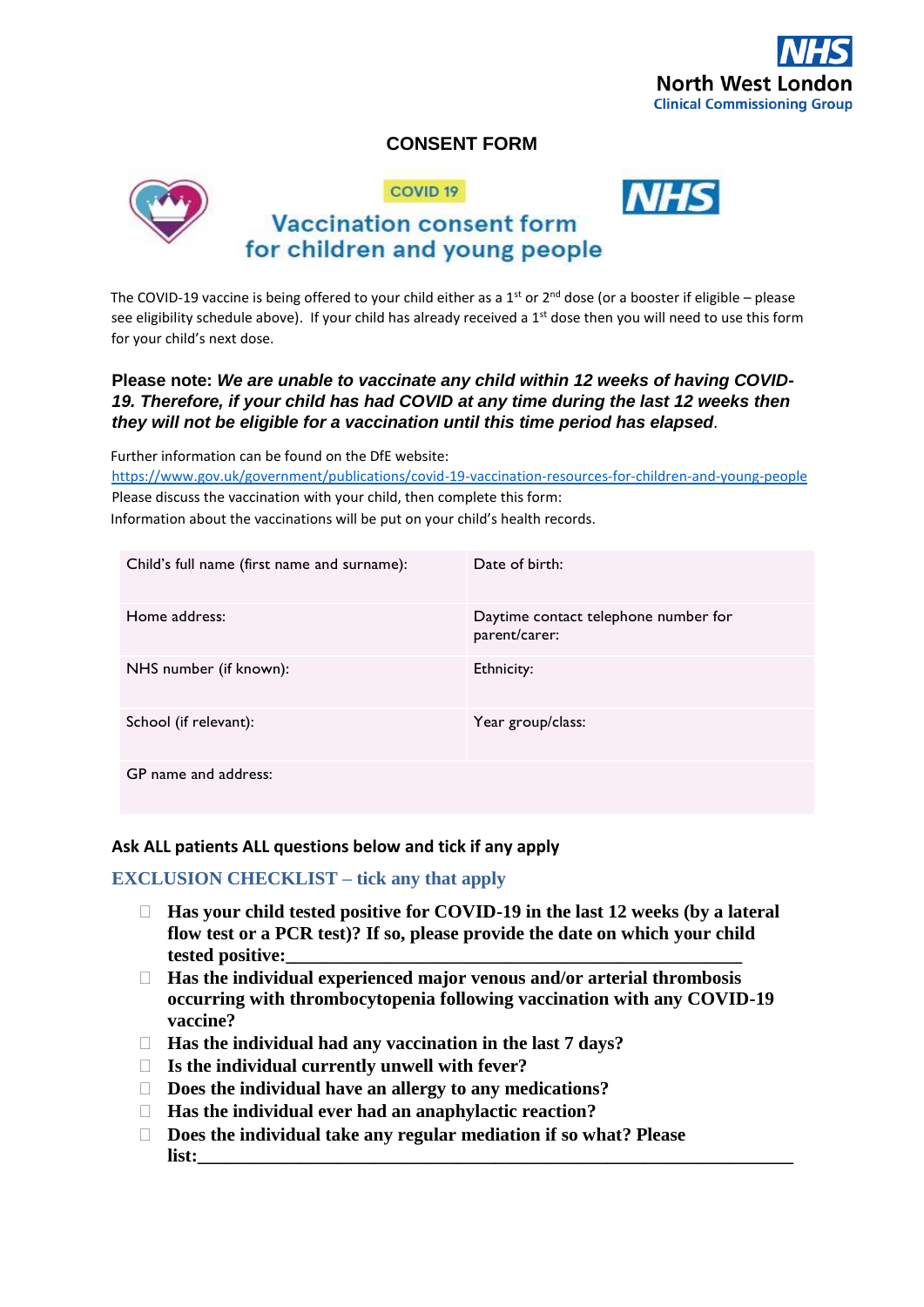

# **CONSENT FORM**



COVID<sub>19</sub>



# **Vaccination consent form** for children and young people

The COVID-19 vaccine is being offered to your child either as a 1<sup>st</sup> or 2<sup>nd</sup> dose (or a booster if eligible – please see eligibility schedule above). If your child has already received a  $1<sup>st</sup>$  dose then you will need to use this form for your child's next dose.

## **Please note:** *We are unable to vaccinate any child within 12 weeks of having COVID-19. Therefore, if your child has had COVID at any time during the last 12 weeks then they will not be eligible for a vaccination until this time period has elapsed.*

Further information can be found on the DfE website:

<https://www.gov.uk/government/publications/covid-19-vaccination-resources-for-children-and-young-people> Please discuss the vaccination with your child, then complete this form: Information about the vaccinations will be put on your child's health records.

| Child's full name (first name and surname): | Date of hirth:                                        |
|---------------------------------------------|-------------------------------------------------------|
| Home address:                               | Daytime contact telephone number for<br>parent/carer: |
| NHS number (if known):                      | Ethnicity:                                            |
| School (if relevant):                       | Year group/class:                                     |
| GP name and address:                        |                                                       |

## **Ask ALL patients ALL questions below and tick if any apply**

# **EXCLUSION CHECKLIST – tick any that apply**

- **Has your child tested positive for COVID-19 in the last 12 weeks (by a lateral flow test or a PCR test)? If so, please provide the date on which your child tested positive:\_\_\_\_\_\_\_\_\_\_\_\_\_\_\_\_\_\_\_\_\_\_\_\_\_\_\_\_\_\_\_\_\_\_\_\_\_\_\_\_\_\_\_\_\_\_\_\_\_**
- **Has the individual experienced major venous and/or arterial thrombosis occurring with thrombocytopenia following vaccination with any COVID-19 vaccine?**
- **Has the individual had any vaccination in the last 7 days?**
- **Is the individual currently unwell with fever?**
- **Does the individual have an allergy to any medications?**
- **Has the individual ever had an anaphylactic reaction?**
- **Does the individual take any regular mediation if so what? Please list:\_\_\_\_\_\_\_\_\_\_\_\_\_\_\_\_\_\_\_\_\_\_\_\_\_\_\_\_\_\_\_\_\_\_\_\_\_\_\_\_\_\_\_\_\_\_\_\_\_\_\_\_\_\_\_\_\_\_\_\_\_\_\_\_**